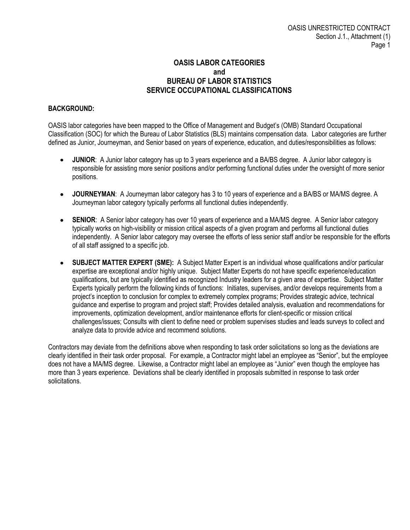## **OASIS LABOR CATEGORIES and BUREAU OF LABOR STATISTICS SERVICE OCCUPATIONAL CLASSIFICATIONS**

## **BACKGROUND:**

OASIS labor categories have been mapped to the Office of Management and Budget's (OMB) Standard Occupational Classification (SOC) for which the Bureau of Labor Statistics (BLS) maintains compensation data. Labor categories are further defined as Junior, Journeyman, and Senior based on years of experience, education, and duties/responsibilities as follows:

- **JUNIOR**: A Junior labor category has up to 3 years experience and a BA/BS degree. A Junior labor category is  $\bullet$ responsible for assisting more senior positions and/or performing functional duties under the oversight of more senior positions.
- **JOURNEYMAN**: A Journeyman labor category has 3 to 10 years of experience and a BA/BS or MA/MS degree. A Journeyman labor category typically performs all functional duties independently.
- $\bullet$ **SENIOR:** A Senior labor category has over 10 years of experience and a MA/MS degree. A Senior labor category typically works on high-visibility or mission critical aspects of a given program and performs all functional duties independently. A Senior labor category may oversee the efforts of less senior staff and/or be responsible for the efforts of all staff assigned to a specific job.
- **SUBJECT MATTER EXPERT (SME):** A Subject Matter Expert is an individual whose qualifications and/or particular  $\bullet$ expertise are exceptional and/or highly unique. Subject Matter Experts do not have specific experience/education qualifications, but are typically identified as recognized Industry leaders for a given area of expertise. Subject Matter Experts typically perform the following kinds of functions: Initiates, supervises, and/or develops requirements from a project's inception to conclusion for complex to extremely complex programs; Provides strategic advice, technical guidance and expertise to program and project staff; Provides detailed analysis, evaluation and recommendations for improvements, optimization development, and/or maintenance efforts for client-specific or mission critical challenges/issues; Consults with client to define need or problem supervises studies and leads surveys to collect and analyze data to provide advice and recommend solutions.

Contractors may deviate from the definitions above when responding to task order solicitations so long as the deviations are clearly identified in their task order proposal. For example, a Contractor might label an employee as "Senior", but the employee does not have a MA/MS degree. Likewise, a Contractor might label an employee as "Junior" even though the employee has more than 3 years experience. Deviations shall be clearly identified in proposals submitted in response to task order solicitations.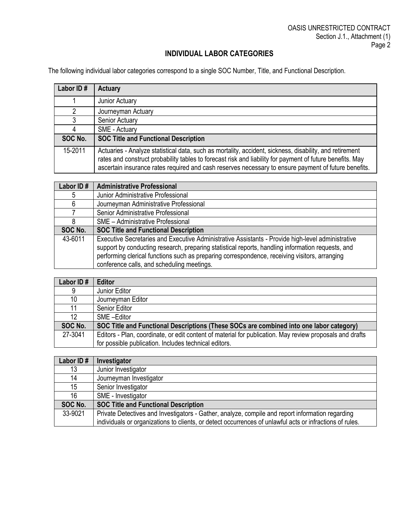## **INDIVIDUAL LABOR CATEGORIES**

The following individual labor categories correspond to a single SOC Number, Title, and Functional Description.

| Labor ID# | <b>Actuary</b>                                                                                                                                                                                                                                                                                                               |
|-----------|------------------------------------------------------------------------------------------------------------------------------------------------------------------------------------------------------------------------------------------------------------------------------------------------------------------------------|
|           | Junior Actuary                                                                                                                                                                                                                                                                                                               |
| 2         | Journeyman Actuary                                                                                                                                                                                                                                                                                                           |
| 3         | Senior Actuary                                                                                                                                                                                                                                                                                                               |
| 4         | SME - Actuary                                                                                                                                                                                                                                                                                                                |
| SOC No.   | <b>SOC Title and Functional Description</b>                                                                                                                                                                                                                                                                                  |
| 15-2011   | Actuaries - Analyze statistical data, such as mortality, accident, sickness, disability, and retirement<br>rates and construct probability tables to forecast risk and liability for payment of future benefits. May<br>ascertain insurance rates required and cash reserves necessary to ensure payment of future benefits. |

| Labor ID# | <b>Administrative Professional</b>                                                                |
|-----------|---------------------------------------------------------------------------------------------------|
| 5         | Junior Administrative Professional                                                                |
| 6         | Journeyman Administrative Professional                                                            |
|           | Senior Administrative Professional                                                                |
| 8         | <b>SME - Administrative Professional</b>                                                          |
| SOC No.   | <b>SOC Title and Functional Description</b>                                                       |
| 43-6011   | Executive Secretaries and Executive Administrative Assistants - Provide high-level administrative |
|           | support by conducting research, preparing statistical reports, handling information requests, and |
|           | performing clerical functions such as preparing correspondence, receiving visitors, arranging     |
|           | conference calls, and scheduling meetings.                                                        |

| Labor ID# | <b>Editor</b>                                                                                            |
|-----------|----------------------------------------------------------------------------------------------------------|
| 9         | Junior Editor                                                                                            |
| 10        | Journeyman Editor                                                                                        |
| 11        | <b>Senior Editor</b>                                                                                     |
| 12        | SME-Editor                                                                                               |
| SOC No.   | SOC Title and Functional Descriptions (These SOCs are combined into one labor category)                  |
| 27-3041   | Editors - Plan, coordinate, or edit content of material for publication. May review proposals and drafts |
|           | for possible publication. Includes technical editors.                                                    |

| Labor ID# | Investigator                                                                                             |
|-----------|----------------------------------------------------------------------------------------------------------|
| 13        | Junior Investigator                                                                                      |
| 14        | Journeyman Investigator                                                                                  |
| 15        | Senior Investigator                                                                                      |
| 16        | SME - Investigator                                                                                       |
| SOC No.   | <b>SOC Title and Functional Description</b>                                                              |
| 33-9021   | Private Detectives and Investigators - Gather, analyze, compile and report information regarding         |
|           | individuals or organizations to clients, or detect occurrences of unlawful acts or infractions of rules. |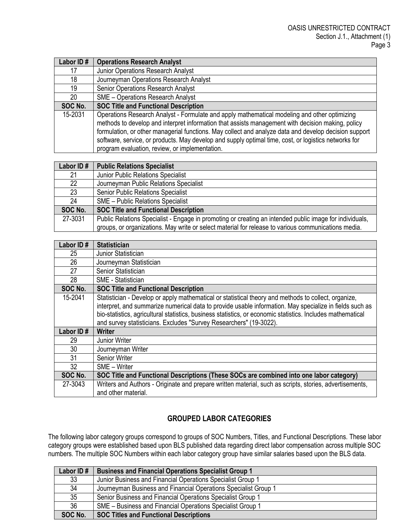| Labor ID# | <b>Operations Research Analyst</b>                                                                    |
|-----------|-------------------------------------------------------------------------------------------------------|
| 17        | Junior Operations Research Analyst                                                                    |
| 18        | Journeyman Operations Research Analyst                                                                |
| 19        | <b>Senior Operations Research Analyst</b>                                                             |
| 20        | <b>SME - Operations Research Analyst</b>                                                              |
| SOC No.   | <b>SOC Title and Functional Description</b>                                                           |
| 15-2031   | Operations Research Analyst - Formulate and apply mathematical modeling and other optimizing          |
|           | methods to develop and interpret information that assists management with decision making, policy     |
|           | formulation, or other managerial functions. May collect and analyze data and develop decision support |
|           | software, service, or products. May develop and supply optimal time, cost, or logistics networks for  |
|           | program evaluation, review, or implementation.                                                        |

| Labor ID# | <b>Public Relations Specialist</b>                                                                      |
|-----------|---------------------------------------------------------------------------------------------------------|
| 21        | <b>Junior Public Relations Specialist</b>                                                               |
| 22        | Journeyman Public Relations Specialist                                                                  |
| 23        | Senior Public Relations Specialist                                                                      |
| 24        | <b>SME - Public Relations Specialist</b>                                                                |
| SOC No.   | <b>SOC Title and Functional Description</b>                                                             |
| 27-3031   | Public Relations Specialist - Engage in promoting or creating an intended public image for individuals, |
|           | groups, or organizations. May write or select material for release to various communications media.     |

| Labor ID# | <b>Statistician</b>                                                                                                                                                                                             |
|-----------|-----------------------------------------------------------------------------------------------------------------------------------------------------------------------------------------------------------------|
| 25        | Junior Statistician                                                                                                                                                                                             |
| 26        | Journeyman Statistician                                                                                                                                                                                         |
| 27        | Senior Statistician                                                                                                                                                                                             |
| 28        | <b>SME</b> - Statistician                                                                                                                                                                                       |
| SOC No.   | <b>SOC Title and Functional Description</b>                                                                                                                                                                     |
| 15-2041   | Statistician - Develop or apply mathematical or statistical theory and methods to collect, organize,<br>interpret, and summarize numerical data to provide usable information. May specialize in fields such as |
|           | bio-statistics, agricultural statistics, business statistics, or economic statistics. Includes mathematical                                                                                                     |
|           | and survey statisticians. Excludes "Survey Researchers" (19-3022).                                                                                                                                              |
| Labor ID# | <b>Writer</b>                                                                                                                                                                                                   |
| 29        | Junior Writer                                                                                                                                                                                                   |
| 30        | Journeyman Writer                                                                                                                                                                                               |
| 31        | <b>Senior Writer</b>                                                                                                                                                                                            |
| 32        | SME - Writer                                                                                                                                                                                                    |
| SOC No.   | SOC Title and Functional Descriptions (These SOCs are combined into one labor category)                                                                                                                         |
| 27-3043   | Writers and Authors - Originate and prepare written material, such as scripts, stories, advertisements,<br>and other material.                                                                                  |

## **GROUPED LABOR CATEGORIES**

The following labor category groups correspond to groups of SOC Numbers, Titles, and Functional Descriptions. These labor category groups were established based upon BLS published data regarding direct labor compensation across multiple SOC numbers. The multiple SOC Numbers within each labor category group have similar salaries based upon the BLS data.

| Labor ID# | <b>Business and Financial Operations Specialist Group 1</b>     |
|-----------|-----------------------------------------------------------------|
| 33        | Junior Business and Financial Operations Specialist Group 1     |
| 34        | Journeyman Business and Financial Operations Specialist Group 1 |
| 35        | Senior Business and Financial Operations Specialist Group 1     |
| 36        | SME – Business and Financial Operations Specialist Group 1      |
| SOC No.   | <b>SOC Titles and Functional Descriptions</b>                   |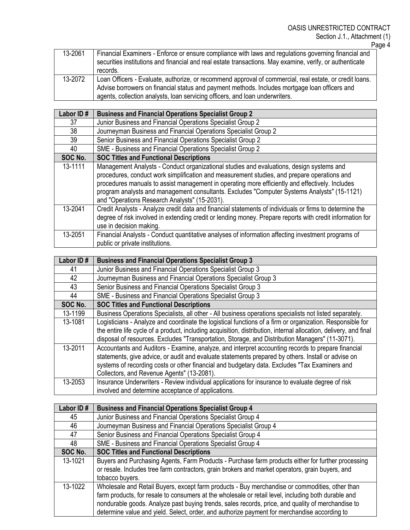| 13-2061 | Financial Examiners - Enforce or ensure compliance with laws and regulations governing financial and<br>securities institutions and financial and real estate transactions. May examine, verify, or authenticate<br>records.                                                             |
|---------|------------------------------------------------------------------------------------------------------------------------------------------------------------------------------------------------------------------------------------------------------------------------------------------|
| 13-2072 | Loan Officers - Evaluate, authorize, or recommend approval of commercial, real estate, or credit loans.<br>Advise borrowers on financial status and payment methods. Includes mortgage loan officers and<br>agents, collection analysts, loan servicing officers, and loan underwriters. |

| Labor ID# | <b>Business and Financial Operations Specialist Group 2</b>                                                                                                                                                                                                                                                                                                                                                                                |
|-----------|--------------------------------------------------------------------------------------------------------------------------------------------------------------------------------------------------------------------------------------------------------------------------------------------------------------------------------------------------------------------------------------------------------------------------------------------|
| 37        | Junior Business and Financial Operations Specialist Group 2                                                                                                                                                                                                                                                                                                                                                                                |
| 38        | Journeyman Business and Financial Operations Specialist Group 2                                                                                                                                                                                                                                                                                                                                                                            |
| 39        | Senior Business and Financial Operations Specialist Group 2                                                                                                                                                                                                                                                                                                                                                                                |
| 40        | SME - Business and Financial Operations Specialist Group 2                                                                                                                                                                                                                                                                                                                                                                                 |
| SOC No.   | <b>SOC Titles and Functional Descriptions</b>                                                                                                                                                                                                                                                                                                                                                                                              |
| 13-1111   | Management Analysts - Conduct organizational studies and evaluations, design systems and<br>procedures, conduct work simplification and measurement studies, and prepare operations and<br>procedures manuals to assist management in operating more efficiently and effectively. Includes<br>program analysts and management consultants. Excludes "Computer Systems Analysts" (15-1121)<br>and "Operations Research Analysts" (15-2031). |
| 13-2041   | Credit Analysts - Analyze credit data and financial statements of individuals or firms to determine the<br>degree of risk involved in extending credit or lending money. Prepare reports with credit information for<br>use in decision making.                                                                                                                                                                                            |
| 13-2051   | Financial Analysts - Conduct quantitative analyses of information affecting investment programs of<br>public or private institutions.                                                                                                                                                                                                                                                                                                      |

| Labor ID# | <b>Business and Financial Operations Specialist Group 3</b>                                                       |
|-----------|-------------------------------------------------------------------------------------------------------------------|
| 41        | Junior Business and Financial Operations Specialist Group 3                                                       |
| 42        | Journeyman Business and Financial Operations Specialist Group 3                                                   |
| 43        | Senior Business and Financial Operations Specialist Group 3                                                       |
| 44        | SME - Business and Financial Operations Specialist Group 3                                                        |
| SOC No.   | <b>SOC Titles and Functional Descriptions</b>                                                                     |
| 13-1199   | Business Operations Specialists, all other - All business operations specialists not listed separately.           |
| 13-1081   | Logisticians - Analyze and coordinate the logistical functions of a firm or organization. Responsible for         |
|           | the entire life cycle of a product, including acquisition, distribution, internal allocation, delivery, and final |
|           | disposal of resources. Excludes "Transportation, Storage, and Distribution Managers" (11-3071).                   |
| 13-2011   | Accountants and Auditors - Examine, analyze, and interpret accounting records to prepare financial                |
|           | statements, give advice, or audit and evaluate statements prepared by others. Install or advise on                |
|           | systems of recording costs or other financial and budgetary data. Excludes "Tax Examiners and                     |
|           | Collectors, and Revenue Agents" (13-2081).                                                                        |
| 13-2053   | Insurance Underwriters - Review individual applications for insurance to evaluate degree of risk                  |
|           | involved and determine acceptance of applications.                                                                |

| Labor ID# | <b>Business and Financial Operations Specialist Group 4</b>                                                                                                                                                                                                                                                                                                                                                |
|-----------|------------------------------------------------------------------------------------------------------------------------------------------------------------------------------------------------------------------------------------------------------------------------------------------------------------------------------------------------------------------------------------------------------------|
| 45        | Junior Business and Financial Operations Specialist Group 4                                                                                                                                                                                                                                                                                                                                                |
| 46        | Journeyman Business and Financial Operations Specialist Group 4                                                                                                                                                                                                                                                                                                                                            |
| 47        | Senior Business and Financial Operations Specialist Group 4                                                                                                                                                                                                                                                                                                                                                |
| 48        | SME - Business and Financial Operations Specialist Group 4                                                                                                                                                                                                                                                                                                                                                 |
| SOC No.   | <b>SOC Titles and Functional Descriptions</b>                                                                                                                                                                                                                                                                                                                                                              |
| 13-1021   | Buyers and Purchasing Agents, Farm Products - Purchase farm products either for further processing<br>or resale. Includes tree farm contractors, grain brokers and market operators, grain buyers, and<br>tobacco buyers.                                                                                                                                                                                  |
| 13-1022   | Wholesale and Retail Buyers, except farm products - Buy merchandise or commodities, other than<br>farm products, for resale to consumers at the wholesale or retail level, including both durable and<br>nondurable goods. Analyze past buying trends, sales records, price, and quality of merchandise to<br>determine value and yield. Select, order, and authorize payment for merchandise according to |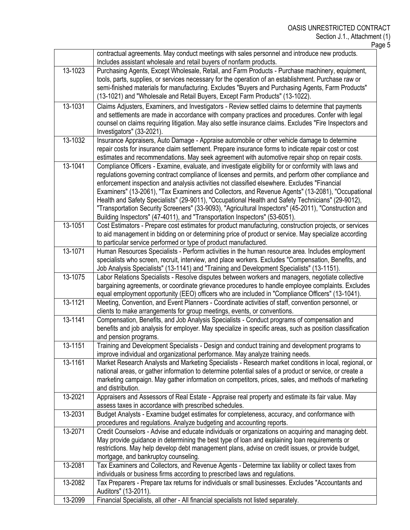Page 5

|         | contractual agreements. May conduct meetings with sales personnel and introduce new products.                                                                                                               |
|---------|-------------------------------------------------------------------------------------------------------------------------------------------------------------------------------------------------------------|
|         | Includes assistant wholesale and retail buyers of nonfarm products.                                                                                                                                         |
| 13-1023 | Purchasing Agents, Except Wholesale, Retail, and Farm Products - Purchase machinery, equipment,                                                                                                             |
|         | tools, parts, supplies, or services necessary for the operation of an establishment. Purchase raw or<br>semi-finished materials for manufacturing. Excludes "Buyers and Purchasing Agents, Farm Products"   |
|         | (13-1021) and "Wholesale and Retail Buyers, Except Farm Products" (13-1022).                                                                                                                                |
| 13-1031 | Claims Adjusters, Examiners, and Investigators - Review settled claims to determine that payments                                                                                                           |
|         | and settlements are made in accordance with company practices and procedures. Confer with legal                                                                                                             |
|         | counsel on claims requiring litigation. May also settle insurance claims. Excludes "Fire Inspectors and                                                                                                     |
|         | Investigators" (33-2021).                                                                                                                                                                                   |
| 13-1032 | Insurance Appraisers, Auto Damage - Appraise automobile or other vehicle damage to determine                                                                                                                |
|         | repair costs for insurance claim settlement. Prepare insurance forms to indicate repair cost or cost                                                                                                        |
| 13-1041 | estimates and recommendations. May seek agreement with automotive repair shop on repair costs.                                                                                                              |
|         | Compliance Officers - Examine, evaluate, and investigate eligibility for or conformity with laws and<br>regulations governing contract compliance of licenses and permits, and perform other compliance and |
|         | enforcement inspection and analysis activities not classified elsewhere. Excludes "Financial                                                                                                                |
|         | Examiners" (13-2061), "Tax Examiners and Collectors, and Revenue Agents" (13-2081), "Occupational                                                                                                           |
|         | Health and Safety Specialists" (29-9011), "Occupational Health and Safety Technicians" (29-9012),                                                                                                           |
|         | "Transportation Security Screeners" (33-9093), "Agricultural Inspectors" (45-2011), "Construction and                                                                                                       |
|         | Building Inspectors" (47-4011), and "Transportation Inspectors" (53-6051).                                                                                                                                  |
| 13-1051 | Cost Estimators - Prepare cost estimates for product manufacturing, construction projects, or services                                                                                                      |
|         | to aid management in bidding on or determining price of product or service. May specialize according                                                                                                        |
|         | to particular service performed or type of product manufactured.                                                                                                                                            |
| 13-1071 | Human Resources Specialists - Perform activities in the human resource area. Includes employment                                                                                                            |
|         | specialists who screen, recruit, interview, and place workers. Excludes "Compensation, Benefits, and<br>Job Analysis Specialists" (13-1141) and "Training and Development Specialists" (13-1151).           |
| 13-1075 | Labor Relations Specialists - Resolve disputes between workers and managers, negotiate collective                                                                                                           |
|         | bargaining agreements, or coordinate grievance procedures to handle employee complaints. Excludes                                                                                                           |
|         | equal employment opportunity (EEO) officers who are included in "Compliance Officers" (13-1041).                                                                                                            |
| 13-1121 | Meeting, Convention, and Event Planners - Coordinate activities of staff, convention personnel, or                                                                                                          |
|         | clients to make arrangements for group meetings, events, or conventions.                                                                                                                                    |
| 13-1141 | Compensation, Benefits, and Job Analysis Specialists - Conduct programs of compensation and                                                                                                                 |
|         | benefits and job analysis for employer. May specialize in specific areas, such as position classification<br>and pension programs.                                                                          |
| 13-1151 | Training and Development Specialists - Design and conduct training and development programs to                                                                                                              |
|         | improve individual and organizational performance. May analyze training needs.                                                                                                                              |
| 13-1161 | Market Research Analysts and Marketing Specialists - Research market conditions in local, regional, or                                                                                                      |
|         | national areas, or gather information to determine potential sales of a product or service, or create a                                                                                                     |
|         | marketing campaign. May gather information on competitors, prices, sales, and methods of marketing                                                                                                          |
|         | and distribution.                                                                                                                                                                                           |
| 13-2021 | Appraisers and Assessors of Real Estate - Appraise real property and estimate its fair value. May                                                                                                           |
| 13-2031 | assess taxes in accordance with prescribed schedules.<br>Budget Analysts - Examine budget estimates for completeness, accuracy, and conformance with                                                        |
|         | procedures and regulations. Analyze budgeting and accounting reports.                                                                                                                                       |
| 13-2071 | Credit Counselors - Advise and educate individuals or organizations on acquiring and managing debt.                                                                                                         |
|         | May provide guidance in determining the best type of loan and explaining loan requirements or                                                                                                               |
|         | restrictions. May help develop debt management plans, advise on credit issues, or provide budget,                                                                                                           |
|         | mortgage, and bankruptcy counseling.                                                                                                                                                                        |
| 13-2081 | Tax Examiners and Collectors, and Revenue Agents - Determine tax liability or collect taxes from                                                                                                            |
|         | individuals or business firms according to prescribed laws and regulations.                                                                                                                                 |
| 13-2082 | Tax Preparers - Prepare tax returns for individuals or small businesses. Excludes "Accountants and<br>Auditors" (13-2011).                                                                                  |
| 13-2099 | Financial Specialists, all other - All financial specialists not listed separately.                                                                                                                         |
|         |                                                                                                                                                                                                             |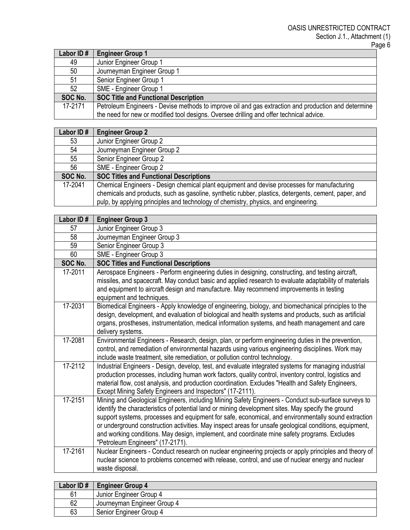| Labor ID# | <b>Engineer Group 1</b>                                                                             |
|-----------|-----------------------------------------------------------------------------------------------------|
| 49        | Junior Engineer Group 1                                                                             |
| 50        | Journeyman Engineer Group 1                                                                         |
| 51        | Senior Engineer Group 1                                                                             |
| 52        | SME - Engineer Group 1                                                                              |
| SOC No.   | <b>SOC Title and Functional Description</b>                                                         |
| 17-2171   | Petroleum Engineers - Devise methods to improve oil and gas extraction and production and determine |
|           | the need for new or modified tool designs. Oversee drilling and offer technical advice.             |

| Labor ID# | <b>Engineer Group 2</b>                                                                                                                                                                                                                                                                    |
|-----------|--------------------------------------------------------------------------------------------------------------------------------------------------------------------------------------------------------------------------------------------------------------------------------------------|
| 53        | Junior Engineer Group 2                                                                                                                                                                                                                                                                    |
| 54        | Journeyman Engineer Group 2                                                                                                                                                                                                                                                                |
| 55        | Senior Engineer Group 2                                                                                                                                                                                                                                                                    |
| 56        | SME - Engineer Group 2                                                                                                                                                                                                                                                                     |
| SOC No.   | <b>SOC Titles and Functional Descriptions</b>                                                                                                                                                                                                                                              |
| 17-2041   | Chemical Engineers - Design chemical plant equipment and devise processes for manufacturing<br>chemicals and products, such as gasoline, synthetic rubber, plastics, detergents, cement, paper, and<br>pulp, by applying principles and technology of chemistry, physics, and engineering. |

| Labor ID# | <b>Engineer Group 3</b>                                                                                                                                                                                                                                                                                                                                                                                                                                                                                                                                        |
|-----------|----------------------------------------------------------------------------------------------------------------------------------------------------------------------------------------------------------------------------------------------------------------------------------------------------------------------------------------------------------------------------------------------------------------------------------------------------------------------------------------------------------------------------------------------------------------|
| 57        | Junior Engineer Group 3                                                                                                                                                                                                                                                                                                                                                                                                                                                                                                                                        |
| 58        | Journeyman Engineer Group 3                                                                                                                                                                                                                                                                                                                                                                                                                                                                                                                                    |
| 59        | Senior Engineer Group 3                                                                                                                                                                                                                                                                                                                                                                                                                                                                                                                                        |
| 60        | SME - Engineer Group 3                                                                                                                                                                                                                                                                                                                                                                                                                                                                                                                                         |
| SOC No.   | <b>SOC Titles and Functional Descriptions</b>                                                                                                                                                                                                                                                                                                                                                                                                                                                                                                                  |
| 17-2011   | Aerospace Engineers - Perform engineering duties in designing, constructing, and testing aircraft,<br>missiles, and spacecraft. May conduct basic and applied research to evaluate adaptability of materials<br>and equipment to aircraft design and manufacture. May recommend improvements in testing<br>equipment and techniques.                                                                                                                                                                                                                           |
| 17-2031   | Biomedical Engineers - Apply knowledge of engineering, biology, and biomechanical principles to the<br>design, development, and evaluation of biological and health systems and products, such as artificial<br>organs, prostheses, instrumentation, medical information systems, and heath management and care<br>delivery systems.                                                                                                                                                                                                                           |
| 17-2081   | Environmental Engineers - Research, design, plan, or perform engineering duties in the prevention,<br>control, and remediation of environmental hazards using various engineering disciplines. Work may<br>include waste treatment, site remediation, or pollution control technology.                                                                                                                                                                                                                                                                         |
| 17-2112   | Industrial Engineers - Design, develop, test, and evaluate integrated systems for managing industrial<br>production processes, including human work factors, quality control, inventory control, logistics and<br>material flow, cost analysis, and production coordination. Excludes "Health and Safety Engineers,<br>Except Mining Safety Engineers and Inspectors" (17-2111).                                                                                                                                                                               |
| 17-2151   | Mining and Geological Engineers, including Mining Safety Engineers - Conduct sub-surface surveys to<br>identify the characteristics of potential land or mining development sites. May specify the ground<br>support systems, processes and equipment for safe, economical, and environmentally sound extraction<br>or underground construction activities. May inspect areas for unsafe geological conditions, equipment,<br>and working conditions. May design, implement, and coordinate mine safety programs. Excludes<br>"Petroleum Engineers" (17-2171). |
| 17-2161   | Nuclear Engineers - Conduct research on nuclear engineering projects or apply principles and theory of<br>nuclear science to problems concerned with release, control, and use of nuclear energy and nuclear<br>waste disposal.                                                                                                                                                                                                                                                                                                                                |
|           | $\sim$                                                                                                                                                                                                                                                                                                                                                                                                                                                                                                                                                         |

| Labor ID# | <b>Engineer Group 4</b>     |
|-----------|-----------------------------|
| 61        | Junior Engineer Group 4     |
| 62        | Journeyman Engineer Group 4 |
| 63        | Senior Engineer Group 4     |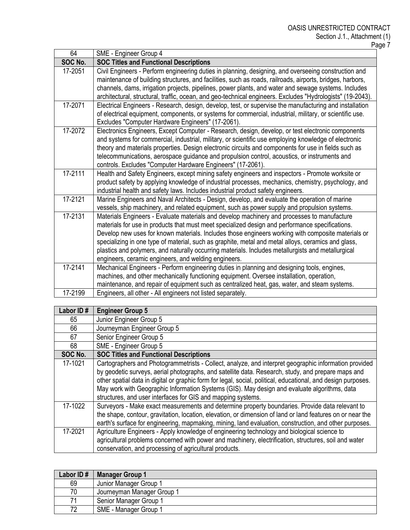| 64      | SME - Engineer Group 4                                                                                                                                                                                            |
|---------|-------------------------------------------------------------------------------------------------------------------------------------------------------------------------------------------------------------------|
| SOC No. | <b>SOC Titles and Functional Descriptions</b>                                                                                                                                                                     |
| 17-2051 | Civil Engineers - Perform engineering duties in planning, designing, and overseeing construction and<br>maintenance of building structures, and facilities, such as roads, railroads, airports, bridges, harbors, |
|         | channels, dams, irrigation projects, pipelines, power plants, and water and sewage systems. Includes                                                                                                              |
|         | architectural, structural, traffic, ocean, and geo-technical engineers. Excludes "Hydrologists" (19-2043).                                                                                                        |
| 17-2071 | Electrical Engineers - Research, design, develop, test, or supervise the manufacturing and installation                                                                                                           |
|         | of electrical equipment, components, or systems for commercial, industrial, military, or scientific use.                                                                                                          |
|         | Excludes "Computer Hardware Engineers" (17-2061).                                                                                                                                                                 |
| 17-2072 | Electronics Engineers, Except Computer - Research, design, develop, or test electronic components                                                                                                                 |
|         | and systems for commercial, industrial, military, or scientific use employing knowledge of electronic                                                                                                             |
|         | theory and materials properties. Design electronic circuits and components for use in fields such as                                                                                                              |
|         | telecommunications, aerospace guidance and propulsion control, acoustics, or instruments and                                                                                                                      |
|         | controls. Excludes "Computer Hardware Engineers" (17-2061).                                                                                                                                                       |
| 17-2111 | Health and Safety Engineers, except mining safety engineers and inspectors - Promote worksite or                                                                                                                  |
|         | product safety by applying knowledge of industrial processes, mechanics, chemistry, psychology, and                                                                                                               |
|         | industrial health and safety laws. Includes industrial product safety engineers.                                                                                                                                  |
| 17-2121 | Marine Engineers and Naval Architects - Design, develop, and evaluate the operation of marine                                                                                                                     |
|         | vessels, ship machinery, and related equipment, such as power supply and propulsion systems.                                                                                                                      |
| 17-2131 | Materials Engineers - Evaluate materials and develop machinery and processes to manufacture                                                                                                                       |
|         | materials for use in products that must meet specialized design and performance specifications.                                                                                                                   |
|         | Develop new uses for known materials. Includes those engineers working with composite materials or                                                                                                                |
|         | specializing in one type of material, such as graphite, metal and metal alloys, ceramics and glass,                                                                                                               |
|         | plastics and polymers, and naturally occurring materials. Includes metallurgists and metallurgical                                                                                                                |
|         | engineers, ceramic engineers, and welding engineers.                                                                                                                                                              |
| 17-2141 | Mechanical Engineers - Perform engineering duties in planning and designing tools, engines,                                                                                                                       |
|         | machines, and other mechanically functioning equipment. Oversee installation, operation,                                                                                                                          |
|         | maintenance, and repair of equipment such as centralized heat, gas, water, and steam systems.                                                                                                                     |
| 17-2199 | Engineers, all other - All engineers not listed separately.                                                                                                                                                       |

| Labor ID# | <b>Engineer Group 5</b>                                                                                                                                                                                                                                                                                                                                                                                                                                                                      |
|-----------|----------------------------------------------------------------------------------------------------------------------------------------------------------------------------------------------------------------------------------------------------------------------------------------------------------------------------------------------------------------------------------------------------------------------------------------------------------------------------------------------|
| 65        | Junior Engineer Group 5                                                                                                                                                                                                                                                                                                                                                                                                                                                                      |
| 66        | Journeyman Engineer Group 5                                                                                                                                                                                                                                                                                                                                                                                                                                                                  |
| 67        | Senior Engineer Group 5                                                                                                                                                                                                                                                                                                                                                                                                                                                                      |
| 68        | SME - Engineer Group 5                                                                                                                                                                                                                                                                                                                                                                                                                                                                       |
| SOC No.   | <b>SOC Titles and Functional Descriptions</b>                                                                                                                                                                                                                                                                                                                                                                                                                                                |
| 17-1021   | Cartographers and Photogrammetrists - Collect, analyze, and interpret geographic information provided<br>by geodetic surveys, aerial photographs, and satellite data. Research, study, and prepare maps and<br>other spatial data in digital or graphic form for legal, social, political, educational, and design purposes.<br>May work with Geographic Information Systems (GIS). May design and evaluate algorithms, data<br>structures, and user interfaces for GIS and mapping systems. |
| 17-1022   | Surveyors - Make exact measurements and determine property boundaries. Provide data relevant to<br>the shape, contour, gravitation, location, elevation, or dimension of land or land features on or near the<br>earth's surface for engineering, mapmaking, mining, land evaluation, construction, and other purposes.                                                                                                                                                                      |
| 17-2021   | Agriculture Engineers - Apply knowledge of engineering technology and biological science to<br>agricultural problems concerned with power and machinery, electrification, structures, soil and water<br>conservation, and processing of agricultural products.                                                                                                                                                                                                                               |

| Labor ID# | <b>Manager Group 1</b>     |
|-----------|----------------------------|
| 69        | Junior Manager Group 1     |
| 70        | Journeyman Manager Group 1 |
| 71        | Senior Manager Group 1     |
| 72        | SME - Manager Group 1      |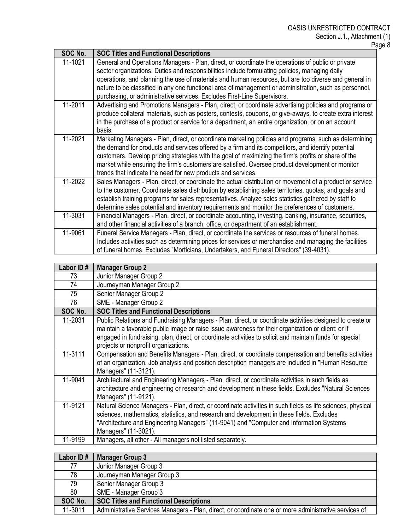| SOC No. | <b>SOC Titles and Functional Descriptions</b>                                                                                                                                                                                                                                                                                                                                                                                                                                           |
|---------|-----------------------------------------------------------------------------------------------------------------------------------------------------------------------------------------------------------------------------------------------------------------------------------------------------------------------------------------------------------------------------------------------------------------------------------------------------------------------------------------|
| 11-1021 | General and Operations Managers - Plan, direct, or coordinate the operations of public or private<br>sector organizations. Duties and responsibilities include formulating policies, managing daily<br>operations, and planning the use of materials and human resources, but are too diverse and general in<br>nature to be classified in any one functional area of management or administration, such as personnel,                                                                  |
|         | purchasing, or administrative services. Excludes First-Line Supervisors.                                                                                                                                                                                                                                                                                                                                                                                                                |
| 11-2011 | Advertising and Promotions Managers - Plan, direct, or coordinate advertising policies and programs or<br>produce collateral materials, such as posters, contests, coupons, or give-aways, to create extra interest<br>in the purchase of a product or service for a department, an entire organization, or on an account<br>basis.                                                                                                                                                     |
| 11-2021 | Marketing Managers - Plan, direct, or coordinate marketing policies and programs, such as determining<br>the demand for products and services offered by a firm and its competitors, and identify potential<br>customers. Develop pricing strategies with the goal of maximizing the firm's profits or share of the<br>market while ensuring the firm's customers are satisfied. Oversee product development or monitor<br>trends that indicate the need for new products and services. |
| 11-2022 | Sales Managers - Plan, direct, or coordinate the actual distribution or movement of a product or service<br>to the customer. Coordinate sales distribution by establishing sales territories, quotas, and goals and<br>establish training programs for sales representatives. Analyze sales statistics gathered by staff to<br>determine sales potential and inventory requirements and monitor the preferences of customers.                                                           |
| 11-3031 | Financial Managers - Plan, direct, or coordinate accounting, investing, banking, insurance, securities,<br>and other financial activities of a branch, office, or department of an establishment.                                                                                                                                                                                                                                                                                       |
| 11-9061 | Funeral Service Managers - Plan, direct, or coordinate the services or resources of funeral homes.<br>Includes activities such as determining prices for services or merchandise and managing the facilities<br>of funeral homes. Excludes "Morticians, Undertakers, and Funeral Directors" (39-4031).                                                                                                                                                                                  |

| Labor ID# | <b>Manager Group 2</b>                                                                                                                                                                                                                                                                                                                                             |
|-----------|--------------------------------------------------------------------------------------------------------------------------------------------------------------------------------------------------------------------------------------------------------------------------------------------------------------------------------------------------------------------|
| 73        | Junior Manager Group 2                                                                                                                                                                                                                                                                                                                                             |
| 74        | Journeyman Manager Group 2                                                                                                                                                                                                                                                                                                                                         |
| 75        | Senior Manager Group 2                                                                                                                                                                                                                                                                                                                                             |
| 76        | SME - Manager Group 2                                                                                                                                                                                                                                                                                                                                              |
| SOC No.   | <b>SOC Titles and Functional Descriptions</b>                                                                                                                                                                                                                                                                                                                      |
| 11-2031   | Public Relations and Fundraising Managers - Plan, direct, or coordinate activities designed to create or<br>maintain a favorable public image or raise issue awareness for their organization or client; or if<br>engaged in fundraising, plan, direct, or coordinate activities to solicit and maintain funds for special<br>projects or nonprofit organizations. |
| 11-3111   | Compensation and Benefits Managers - Plan, direct, or coordinate compensation and benefits activities<br>of an organization. Job analysis and position description managers are included in "Human Resource"<br>Managers" (11-3121).                                                                                                                               |
| 11-9041   | Architectural and Engineering Managers - Plan, direct, or coordinate activities in such fields as<br>architecture and engineering or research and development in these fields. Excludes "Natural Sciences<br>Managers" (11-9121).                                                                                                                                  |
| 11-9121   | Natural Science Managers - Plan, direct, or coordinate activities in such fields as life sciences, physical<br>sciences, mathematics, statistics, and research and development in these fields. Excludes<br>"Architecture and Engineering Managers" (11-9041) and "Computer and Information Systems<br>Managers" (11-3021).                                        |
| 11-9199   | Managers, all other - All managers not listed separately.                                                                                                                                                                                                                                                                                                          |

| Labor ID# | <b>Manager Group 3</b>                                                                                |
|-----------|-------------------------------------------------------------------------------------------------------|
| 77        | Junior Manager Group 3                                                                                |
| 78        | Journeyman Manager Group 3                                                                            |
| 79        | Senior Manager Group 3                                                                                |
| 80        | SME - Manager Group 3                                                                                 |
| SOC No.   | <b>SOC Titles and Functional Descriptions</b>                                                         |
| 11-3011   | Administrative Services Managers - Plan, direct, or coordinate one or more administrative services of |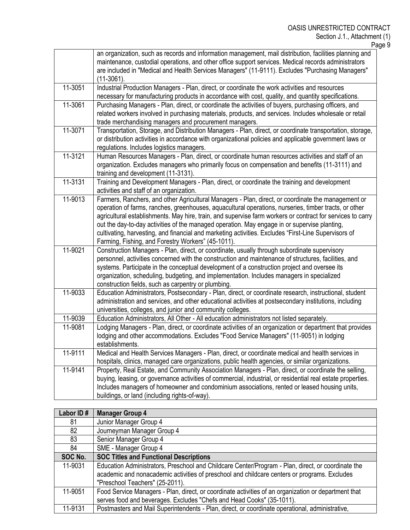|         | Page 9                                                                                                                                                                                                                                                                                                                                                                                                                                                                                                                                                                                  |
|---------|-----------------------------------------------------------------------------------------------------------------------------------------------------------------------------------------------------------------------------------------------------------------------------------------------------------------------------------------------------------------------------------------------------------------------------------------------------------------------------------------------------------------------------------------------------------------------------------------|
|         | an organization, such as records and information management, mail distribution, facilities planning and<br>maintenance, custodial operations, and other office support services. Medical records administrators<br>are included in "Medical and Health Services Managers" (11-9111). Excludes "Purchasing Managers"<br>$(11-3061)$ .                                                                                                                                                                                                                                                    |
| 11-3051 | Industrial Production Managers - Plan, direct, or coordinate the work activities and resources<br>necessary for manufacturing products in accordance with cost, quality, and quantity specifications.                                                                                                                                                                                                                                                                                                                                                                                   |
| 11-3061 | Purchasing Managers - Plan, direct, or coordinate the activities of buyers, purchasing officers, and<br>related workers involved in purchasing materials, products, and services. Includes wholesale or retail<br>trade merchandising managers and procurement managers.                                                                                                                                                                                                                                                                                                                |
| 11-3071 | Transportation, Storage, and Distribution Managers - Plan, direct, or coordinate transportation, storage,<br>or distribution activities in accordance with organizational policies and applicable government laws or<br>regulations. Includes logistics managers.                                                                                                                                                                                                                                                                                                                       |
| 11-3121 | Human Resources Managers - Plan, direct, or coordinate human resources activities and staff of an<br>organization. Excludes managers who primarily focus on compensation and benefits (11-3111) and<br>training and development (11-3131).                                                                                                                                                                                                                                                                                                                                              |
| 11-3131 | Training and Development Managers - Plan, direct, or coordinate the training and development<br>activities and staff of an organization.                                                                                                                                                                                                                                                                                                                                                                                                                                                |
| 11-9013 | Farmers, Ranchers, and other Agricultural Managers - Plan, direct, or coordinate the management or<br>operation of farms, ranches, greenhouses, aquacultural operations, nurseries, timber tracts, or other<br>agricultural establishments. May hire, train, and supervise farm workers or contract for services to carry<br>out the day-to-day activities of the managed operation. May engage in or supervise planting,<br>cultivating, harvesting, and financial and marketing activities. Excludes "First-Line Supervisors of<br>Farming, Fishing, and Forestry Workers" (45-1011). |
| 11-9021 | Construction Managers - Plan, direct, or coordinate, usually through subordinate supervisory<br>personnel, activities concerned with the construction and maintenance of structures, facilities, and<br>systems. Participate in the conceptual development of a construction project and oversee its<br>organization, scheduling, budgeting, and implementation. Includes managers in specialized<br>construction fields, such as carpentry or plumbing.                                                                                                                                |
| 11-9033 | Education Administrators, Postsecondary - Plan, direct, or coordinate research, instructional, student<br>administration and services, and other educational activities at postsecondary institutions, including<br>universities, colleges, and junior and community colleges.                                                                                                                                                                                                                                                                                                          |
| 11-9039 | Education Administrators, All Other - All education administrators not listed separately.                                                                                                                                                                                                                                                                                                                                                                                                                                                                                               |
| 11-9081 | Lodging Managers - Plan, direct, or coordinate activities of an organization or department that provides<br>lodging and other accommodations. Excludes "Food Service Managers" (11-9051) in lodging<br>establishments.                                                                                                                                                                                                                                                                                                                                                                  |
| 11-9111 | Medical and Health Services Managers - Plan, direct, or coordinate medical and health services in<br>hospitals, clinics, managed care organizations, public health agencies, or similar organizations.                                                                                                                                                                                                                                                                                                                                                                                  |
| 11-9141 | Property, Real Estate, and Community Association Managers - Plan, direct, or coordinate the selling,<br>buying, leasing, or governance activities of commercial, industrial, or residential real estate properties.<br>Includes managers of homeowner and condominium associations, rented or leased housing units,<br>buildings, or land (including rights-of-way).                                                                                                                                                                                                                    |

| Labor ID# | <b>Manager Group 4</b>                                                                                                                                                                                                                |
|-----------|---------------------------------------------------------------------------------------------------------------------------------------------------------------------------------------------------------------------------------------|
| 81        | Junior Manager Group 4                                                                                                                                                                                                                |
| 82        | Journeyman Manager Group 4                                                                                                                                                                                                            |
| 83        | Senior Manager Group 4                                                                                                                                                                                                                |
| 84        | SME - Manager Group 4                                                                                                                                                                                                                 |
| SOC No.   | <b>SOC Titles and Functional Descriptions</b>                                                                                                                                                                                         |
| 11-9031   | Education Administrators, Preschool and Childcare Center/Program - Plan, direct, or coordinate the<br>academic and nonacademic activities of preschool and childcare centers or programs. Excludes<br>"Preschool Teachers" (25-2011). |
| 11-9051   | Food Service Managers - Plan, direct, or coordinate activities of an organization or department that<br>serves food and beverages. Excludes "Chefs and Head Cooks" (35-1011).                                                         |
| 11-9131   | Postmasters and Mail Superintendents - Plan, direct, or coordinate operational, administrative,                                                                                                                                       |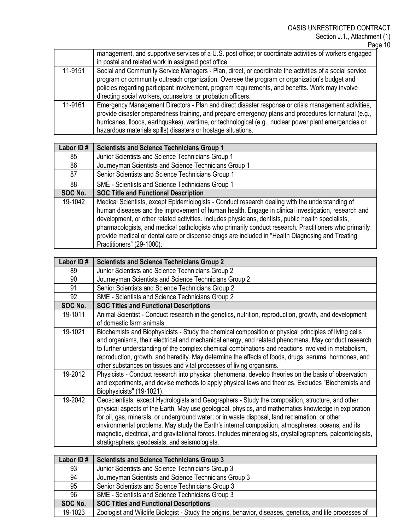Page 10

|         | management, and supportive services of a U.S. post office; or coordinate activities of workers engaged |
|---------|--------------------------------------------------------------------------------------------------------|
|         | in postal and related work in assigned post office.                                                    |
| 11-9151 | Social and Community Service Managers - Plan, direct, or coordinate the activities of a social service |
|         | program or community outreach organization. Oversee the program or organization's budget and           |
|         | policies regarding participant involvement, program requirements, and benefits. Work may involve       |
|         | directing social workers, counselors, or probation officers.                                           |
| 11-9161 | Emergency Management Directors - Plan and direct disaster response or crisis management activities,    |
|         | provide disaster preparedness training, and prepare emergency plans and procedures for natural (e.g.,  |
|         | hurricanes, floods, earthquakes), wartime, or technological (e.g., nuclear power plant emergencies or  |
|         | hazardous materials spills) disasters or hostage situations.                                           |

| Labor ID# | <b>Scientists and Science Technicians Group 1</b>                                                                                                                                                                                                                                                                                                                                                                                                                                                                                                      |
|-----------|--------------------------------------------------------------------------------------------------------------------------------------------------------------------------------------------------------------------------------------------------------------------------------------------------------------------------------------------------------------------------------------------------------------------------------------------------------------------------------------------------------------------------------------------------------|
| 85        | Junior Scientists and Science Technicians Group 1                                                                                                                                                                                                                                                                                                                                                                                                                                                                                                      |
| 86        | Journeyman Scientists and Science Technicians Group 1                                                                                                                                                                                                                                                                                                                                                                                                                                                                                                  |
| 87        | Senior Scientists and Science Technicians Group 1                                                                                                                                                                                                                                                                                                                                                                                                                                                                                                      |
| 88        | SME - Scientists and Science Technicians Group 1                                                                                                                                                                                                                                                                                                                                                                                                                                                                                                       |
| SOC No.   | <b>SOC Title and Functional Description</b>                                                                                                                                                                                                                                                                                                                                                                                                                                                                                                            |
| 19-1042   | Medical Scientists, except Epidemiologists - Conduct research dealing with the understanding of<br>human diseases and the improvement of human health. Engage in clinical investigation, research and<br>development, or other related activities. Includes physicians, dentists, public health specialists,<br>pharmacologists, and medical pathologists who primarily conduct research. Practitioners who primarily<br>provide medical or dental care or dispense drugs are included in "Health Diagnosing and Treating<br>Practitioners" (29-1000). |

| Labor ID# | <b>Scientists and Science Technicians Group 2</b>                                                           |
|-----------|-------------------------------------------------------------------------------------------------------------|
| 89        | Junior Scientists and Science Technicians Group 2                                                           |
| 90        | Journeyman Scientists and Science Technicians Group 2                                                       |
| 91        | Senior Scientists and Science Technicians Group 2                                                           |
| 92        | <b>SME - Scientists and Science Technicians Group 2</b>                                                     |
| SOC No.   | <b>SOC Titles and Functional Descriptions</b>                                                               |
| 19-1011   | Animal Scientist - Conduct research in the genetics, nutrition, reproduction, growth, and development       |
|           | of domestic farm animals.                                                                                   |
| 19-1021   | Biochemists and Biophysicists - Study the chemical composition or physical principles of living cells       |
|           | and organisms, their electrical and mechanical energy, and related phenomena. May conduct research          |
|           | to further understanding of the complex chemical combinations and reactions involved in metabolism,         |
|           | reproduction, growth, and heredity. May determine the effects of foods, drugs, serums, hormones, and        |
|           | other substances on tissues and vital processes of living organisms.                                        |
| 19-2012   | Physicists - Conduct research into physical phenomena, develop theories on the basis of observation         |
|           | and experiments, and devise methods to apply physical laws and theories. Excludes "Biochemists and          |
|           | Biophysicists" (19-1021).                                                                                   |
| 19-2042   | Geoscientists, except Hydrologists and Geographers - Study the composition, structure, and other            |
|           | physical aspects of the Earth. May use geological, physics, and mathematics knowledge in exploration        |
|           | for oil, gas, minerals, or underground water; or in waste disposal, land reclamation, or other              |
|           | environmental problems. May study the Earth's internal composition, atmospheres, oceans, and its            |
|           | magnetic, electrical, and gravitational forces. Includes mineralogists, crystallographers, paleontologists, |
|           | stratigraphers, geodesists, and seismologists.                                                              |

| Labor ID# | <b>Scientists and Science Technicians Group 3</b>                                                         |
|-----------|-----------------------------------------------------------------------------------------------------------|
| 93        | Junior Scientists and Science Technicians Group 3                                                         |
| 94        | Journeyman Scientists and Science Technicians Group 3                                                     |
| 95        | Senior Scientists and Science Technicians Group 3                                                         |
| 96        | SME - Scientists and Science Technicians Group 3                                                          |
| SOC No.   | <b>SOC Titles and Functional Descriptions</b>                                                             |
| 19-1023   | Zoologist and Wildlife Biologist - Study the origins, behavior, diseases, genetics, and life processes of |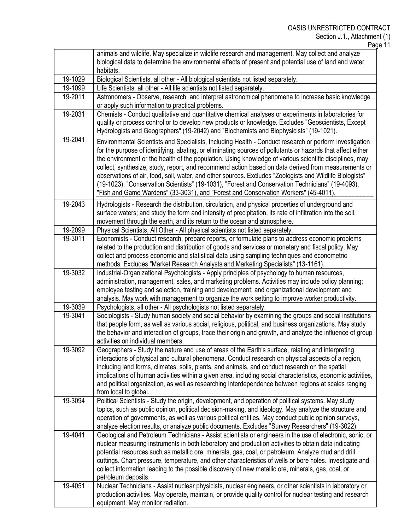Page 11

|         | animals and wildlife. May specialize in wildlife research and management. May collect and analyze<br>biological data to determine the environmental effects of present and potential use of land and water<br>habitats.                                                                                                                                                                                                                                                                                                                                                                                                                                                                                                                        |
|---------|------------------------------------------------------------------------------------------------------------------------------------------------------------------------------------------------------------------------------------------------------------------------------------------------------------------------------------------------------------------------------------------------------------------------------------------------------------------------------------------------------------------------------------------------------------------------------------------------------------------------------------------------------------------------------------------------------------------------------------------------|
| 19-1029 | Biological Scientists, all other - All biological scientists not listed separately.                                                                                                                                                                                                                                                                                                                                                                                                                                                                                                                                                                                                                                                            |
| 19-1099 | Life Scientists, all other - All life scientists not listed separately.                                                                                                                                                                                                                                                                                                                                                                                                                                                                                                                                                                                                                                                                        |
| 19-2011 | Astronomers - Observe, research, and interpret astronomical phenomena to increase basic knowledge<br>or apply such information to practical problems.                                                                                                                                                                                                                                                                                                                                                                                                                                                                                                                                                                                          |
| 19-2031 | Chemists - Conduct qualitative and quantitative chemical analyses or experiments in laboratories for<br>quality or process control or to develop new products or knowledge. Excludes "Geoscientists, Except<br>Hydrologists and Geographers" (19-2042) and "Biochemists and Biophysicists" (19-1021).                                                                                                                                                                                                                                                                                                                                                                                                                                          |
| 19-2041 | Environmental Scientists and Specialists, Including Health - Conduct research or perform investigation<br>for the purpose of identifying, abating, or eliminating sources of pollutants or hazards that affect either<br>the environment or the health of the population. Using knowledge of various scientific disciplines, may<br>collect, synthesize, study, report, and recommend action based on data derived from measurements or<br>observations of air, food, soil, water, and other sources. Excludes "Zoologists and Wildlife Biologists"<br>(19-1023), "Conservation Scientists" (19-1031), "Forest and Conservation Technicians" (19-4093),<br>"Fish and Game Wardens" (33-3031), and "Forest and Conservation Workers" (45-4011). |
| 19-2043 | Hydrologists - Research the distribution, circulation, and physical properties of underground and<br>surface waters; and study the form and intensity of precipitation, its rate of infiltration into the soil,<br>movement through the earth, and its return to the ocean and atmosphere.                                                                                                                                                                                                                                                                                                                                                                                                                                                     |
| 19-2099 | Physical Scientists, All Other - All physical scientists not listed separately.                                                                                                                                                                                                                                                                                                                                                                                                                                                                                                                                                                                                                                                                |
| 19-3011 | Economists - Conduct research, prepare reports, or formulate plans to address economic problems<br>related to the production and distribution of goods and services or monetary and fiscal policy. May<br>collect and process economic and statistical data using sampling techniques and econometric<br>methods. Excludes "Market Research Analysts and Marketing Specialists" (13-1161).                                                                                                                                                                                                                                                                                                                                                     |
| 19-3032 | Industrial-Organizational Psychologists - Apply principles of psychology to human resources,                                                                                                                                                                                                                                                                                                                                                                                                                                                                                                                                                                                                                                                   |
|         | administration, management, sales, and marketing problems. Activities may include policy planning;<br>employee testing and selection, training and development; and organizational development and<br>analysis. May work with management to organize the work setting to improve worker productivity.                                                                                                                                                                                                                                                                                                                                                                                                                                          |
| 19-3039 | Psychologists, all other - All psychologists not listed separately.                                                                                                                                                                                                                                                                                                                                                                                                                                                                                                                                                                                                                                                                            |
| 19-3041 | Sociologists - Study human society and social behavior by examining the groups and social institutions<br>that people form, as well as various social, religious, political, and business organizations. May study<br>the behavior and interaction of groups, trace their origin and growth, and analyze the influence of group<br>activities on individual members.                                                                                                                                                                                                                                                                                                                                                                           |
| 19-3092 | Geographers - Study the nature and use of areas of the Earth's surface, relating and interpreting<br>interactions of physical and cultural phenomena. Conduct research on physical aspects of a region,<br>including land forms, climates, soils, plants, and animals, and conduct research on the spatial<br>implications of human activities within a given area, including social characteristics, economic activities,<br>and political organization, as well as researching interdependence between regions at scales ranging<br>from local to global.                                                                                                                                                                                    |
| 19-3094 | Political Scientists - Study the origin, development, and operation of political systems. May study<br>topics, such as public opinion, political decision-making, and ideology. May analyze the structure and<br>operation of governments, as well as various political entities. May conduct public opinion surveys,<br>analyze election results, or analyze public documents. Excludes "Survey Researchers" (19-3022).                                                                                                                                                                                                                                                                                                                       |
| 19-4041 | Geological and Petroleum Technicians - Assist scientists or engineers in the use of electronic, sonic, or<br>nuclear measuring instruments in both laboratory and production activities to obtain data indicating<br>potential resources such as metallic ore, minerals, gas, coal, or petroleum. Analyze mud and drill<br>cuttings. Chart pressure, temperature, and other characteristics of wells or bore holes. Investigate and<br>collect information leading to the possible discovery of new metallic ore, minerals, gas, coal, or<br>petroleum deposits.                                                                                                                                                                               |
| 19-4051 | Nuclear Technicians - Assist nuclear physicists, nuclear engineers, or other scientists in laboratory or<br>production activities. May operate, maintain, or provide quality control for nuclear testing and research<br>equipment. May monitor radiation.                                                                                                                                                                                                                                                                                                                                                                                                                                                                                     |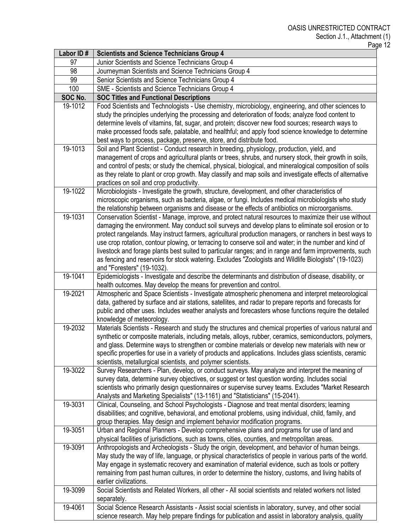| Labor ID# | <b>Scientists and Science Technicians Group 4</b>                                                                                                                                                                 |
|-----------|-------------------------------------------------------------------------------------------------------------------------------------------------------------------------------------------------------------------|
| 97        | Junior Scientists and Science Technicians Group 4                                                                                                                                                                 |
| 98        | Journeyman Scientists and Science Technicians Group 4                                                                                                                                                             |
| 99        | Senior Scientists and Science Technicians Group 4                                                                                                                                                                 |
| 100       | SME - Scientists and Science Technicians Group 4                                                                                                                                                                  |
| SOC No.   | <b>SOC Titles and Functional Descriptions</b>                                                                                                                                                                     |
| 19-1012   | Food Scientists and Technologists - Use chemistry, microbiology, engineering, and other sciences to                                                                                                               |
|           | study the principles underlying the processing and deterioration of foods; analyze food content to                                                                                                                |
|           | determine levels of vitamins, fat, sugar, and protein; discover new food sources; research ways to                                                                                                                |
|           | make processed foods safe, palatable, and healthful; and apply food science knowledge to determine                                                                                                                |
|           | best ways to process, package, preserve, store, and distribute food.                                                                                                                                              |
| 19-1013   | Soil and Plant Scientist - Conduct research in breeding, physiology, production, yield, and                                                                                                                       |
|           | management of crops and agricultural plants or trees, shrubs, and nursery stock, their growth in soils,                                                                                                           |
|           | and control of pests; or study the chemical, physical, biological, and mineralogical composition of soils                                                                                                         |
|           | as they relate to plant or crop growth. May classify and map soils and investigate effects of alternative                                                                                                         |
|           | practices on soil and crop productivity.                                                                                                                                                                          |
| 19-1022   | Microbiologists - Investigate the growth, structure, development, and other characteristics of                                                                                                                    |
|           | microscopic organisms, such as bacteria, algae, or fungi. Includes medical microbiologists who study                                                                                                              |
|           | the relationship between organisms and disease or the effects of antibiotics on microorganisms.                                                                                                                   |
| 19-1031   | Conservation Scientist - Manage, improve, and protect natural resources to maximize their use without                                                                                                             |
|           | damaging the environment. May conduct soil surveys and develop plans to eliminate soil erosion or to                                                                                                              |
|           | protect rangelands. May instruct farmers, agricultural production managers, or ranchers in best ways to<br>use crop rotation, contour plowing, or terracing to conserve soil and water; in the number and kind of |
|           | livestock and forage plants best suited to particular ranges; and in range and farm improvements, such                                                                                                            |
|           | as fencing and reservoirs for stock watering. Excludes "Zoologists and Wildlife Biologists" (19-1023)                                                                                                             |
|           | and "Foresters" (19-1032).                                                                                                                                                                                        |
| 19-1041   | Epidemiologists - Investigate and describe the determinants and distribution of disease, disability, or                                                                                                           |
|           | health outcomes. May develop the means for prevention and control.                                                                                                                                                |
| 19-2021   | Atmospheric and Space Scientists - Investigate atmospheric phenomena and interpret meteorological                                                                                                                 |
|           | data, gathered by surface and air stations, satellites, and radar to prepare reports and forecasts for                                                                                                            |
|           | public and other uses. Includes weather analysts and forecasters whose functions require the detailed                                                                                                             |
|           | knowledge of meteorology.                                                                                                                                                                                         |
| 19-2032   | Materials Scientists - Research and study the structures and chemical properties of various natural and                                                                                                           |
|           | synthetic or composite materials, including metals, alloys, rubber, ceramics, semiconductors, polymers,                                                                                                           |
|           | and glass. Determine ways to strengthen or combine materials or develop new materials with new or                                                                                                                 |
|           | specific properties for use in a variety of products and applications. Includes glass scientists, ceramic                                                                                                         |
|           | scientists, metallurgical scientists, and polymer scientists.                                                                                                                                                     |
| 19-3022   | Survey Researchers - Plan, develop, or conduct surveys. May analyze and interpret the meaning of                                                                                                                  |
|           | survey data, determine survey objectives, or suggest or test question wording. Includes social                                                                                                                    |
|           | scientists who primarily design questionnaires or supervise survey teams. Excludes "Market Research                                                                                                               |
|           | Analysts and Marketing Specialists" (13-1161) and "Statisticians" (15-2041).                                                                                                                                      |
| 19-3031   | Clinical, Counseling, and School Psychologists - Diagnose and treat mental disorders; learning                                                                                                                    |
|           | disabilities; and cognitive, behavioral, and emotional problems, using individual, child, family, and                                                                                                             |
|           | group therapies. May design and implement behavior modification programs.                                                                                                                                         |
| 19-3051   | Urban and Regional Planners - Develop comprehensive plans and programs for use of land and                                                                                                                        |
| 19-3091   | physical facilities of jurisdictions, such as towns, cities, counties, and metropolitan areas.<br>Anthropologists and Archeologists - Study the origin, development, and behavior of human beings.                |
|           | May study the way of life, language, or physical characteristics of people in various parts of the world.                                                                                                         |
|           | May engage in systematic recovery and examination of material evidence, such as tools or pottery                                                                                                                  |
|           | remaining from past human cultures, in order to determine the history, customs, and living habits of                                                                                                              |
|           | earlier civilizations.                                                                                                                                                                                            |
| 19-3099   | Social Scientists and Related Workers, all other - All social scientists and related workers not listed                                                                                                           |
|           | separately.                                                                                                                                                                                                       |
| 19-4061   | Social Science Research Assistants - Assist social scientists in laboratory, survey, and other social                                                                                                             |
|           | science research. May help prepare findings for publication and assist in laboratory analysis, quality                                                                                                            |